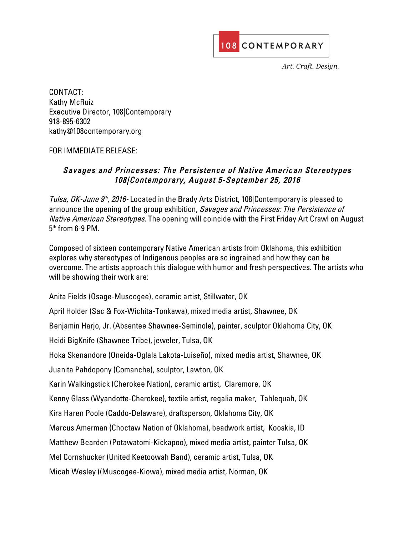

Art. Craft. Design.

CONTACT: Kathy McRuiz Executive Director, 108|Contemporary 918-895-6302 kathy@108contemporary.org

## FOR IMMEDIATE RELEASE:

## Savages and Princesses: The Persistence of Native American Stereotypes 108|Contemporary, August 5-September 25, 2016

Tulsa, OK-June  $9<sup>th</sup>$ , 2016-Located in the Brady Arts District, 108 Contemporary is pleased to announce the opening of the group exhibition, Savages and Princesses: The Persistence of Native American Stereotypes. The opening will coincide with the First Friday Art Crawl on August  $5<sup>th</sup>$  from 6-9 PM.

Composed of sixteen contemporary Native American artists from Oklahoma, this exhibition explores why stereotypes of Indigenous peoples are so ingrained and how they can be overcome. The artists approach this dialogue with humor and fresh perspectives. The artists who will be showing their work are:

Anita Fields (Osage-Muscogee), ceramic artist, Stillwater, OK

April Holder (Sac & Fox-Wichita-Tonkawa), mixed media artist, Shawnee, OK

Benjamin Harjo, Jr. (Absentee Shawnee-Seminole), painter, sculptor Oklahoma City, OK

Heidi BigKnife (Shawnee Tribe), jeweler, Tulsa, OK

Hoka Skenandore (Oneida-Oglala Lakota-Luiseño), mixed media artist, Shawnee, OK

Juanita Pahdopony (Comanche), sculptor, Lawton, OK

Karin Walkingstick (Cherokee Nation), ceramic artist, Claremore, OK

Kenny Glass (Wyandotte-Cherokee), textile artist, regalia maker, Tahlequah, OK

Kira Haren Poole (Caddo-Delaware), draftsperson, Oklahoma City, OK

Marcus Amerman (Choctaw Nation of Oklahoma), beadwork artist, Kooskia, ID

Matthew Bearden (Potawatomi-Kickapoo), mixed media artist, painter Tulsa, OK

Mel Cornshucker (United Keetoowah Band), ceramic artist, Tulsa, OK

Micah Wesley ((Muscogee-Kiowa), mixed media artist, Norman, OK